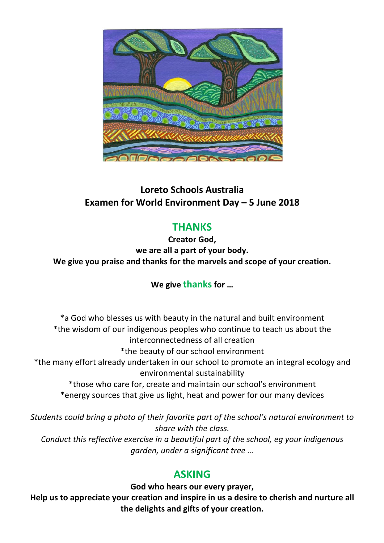

# **Loreto Schools Australia Examen for World Environment Day – 5 June 2018**

# **THANKS**

**Creator God, we are all a part of your body. We give you praise and thanks for the marvels and scope of your creation.**

## **We give thanksfor …**

\*a God who blesses us with beauty in the natural and built environment \*the wisdom of our indigenous peoples who continue to teach us about the interconnectedness of all creation \*the beauty of our school environment \*the many effort already undertaken in our school to promote an integral ecology and environmental sustainability \*those who care for, create and maintain our school's environment \*energy sources that give us light, heat and power for our many devices

*Students could bring a photo of their favorite part of the school's natural environment to share with the class.*

*Conduct this reflective exercise in a beautiful part of the school, eg your indigenous garden, under a significant tree …* 

## **ASKING**

**God who hears our every prayer,** 

**Help us to appreciate your creation and inspire in us a desire to cherish and nurture all the delights and gifts of your creation.**